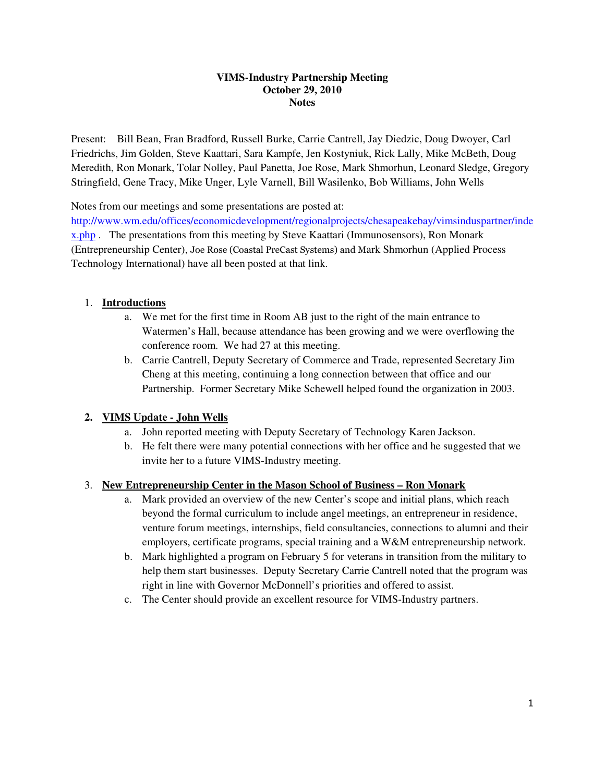#### **VIMS-Industry Partnership Meeting October 29, 2010 Notes**

Present: Bill Bean, Fran Bradford, Russell Burke, Carrie Cantrell, Jay Diedzic, Doug Dwoyer, Carl Friedrichs, Jim Golden, Steve Kaattari, Sara Kampfe, Jen Kostyniuk, Rick Lally, Mike McBeth, Doug Meredith, Ron Monark, Tolar Nolley, Paul Panetta, Joe Rose, Mark Shmorhun, Leonard Sledge, Gregory Stringfield, Gene Tracy, Mike Unger, Lyle Varnell, Bill Wasilenko, Bob Williams, John Wells

Notes from our meetings and some presentations are posted at:

http://www.wm.edu/offices/economicdevelopment/regionalprojects/chesapeakebay/vimsinduspartner/inde x.php . The presentations from this meeting by Steve Kaattari (Immunosensors), Ron Monark (Entrepreneurship Center), Joe Rose (Coastal PreCast Systems) and Mark Shmorhun (Applied Process Technology International) have all been posted at that link.

### 1. **Introductions**

- a. We met for the first time in Room AB just to the right of the main entrance to Watermen's Hall, because attendance has been growing and we were overflowing the conference room. We had 27 at this meeting.
- b. Carrie Cantrell, Deputy Secretary of Commerce and Trade, represented Secretary Jim Cheng at this meeting, continuing a long connection between that office and our Partnership. Former Secretary Mike Schewell helped found the organization in 2003.

### **2. VIMS Update - John Wells**

- a. John reported meeting with Deputy Secretary of Technology Karen Jackson.
- b. He felt there were many potential connections with her office and he suggested that we invite her to a future VIMS-Industry meeting.

#### 3. **New Entrepreneurship Center in the Mason School of Business – Ron Monark**

- a. Mark provided an overview of the new Center's scope and initial plans, which reach beyond the formal curriculum to include angel meetings, an entrepreneur in residence, venture forum meetings, internships, field consultancies, connections to alumni and their employers, certificate programs, special training and a W&M entrepreneurship network.
- b. Mark highlighted a program on February 5 for veterans in transition from the military to help them start businesses. Deputy Secretary Carrie Cantrell noted that the program was right in line with Governor McDonnell's priorities and offered to assist.
- c. The Center should provide an excellent resource for VIMS-Industry partners.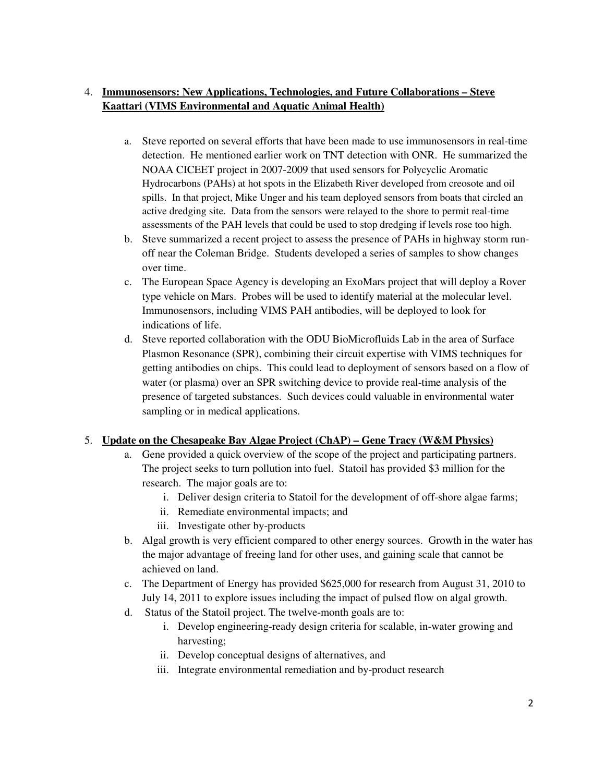# 4. **Immunosensors: New Applications, Technologies, and Future Collaborations – Steve Kaattari (VIMS Environmental and Aquatic Animal Health)**

- a. Steve reported on several efforts that have been made to use immunosensors in real-time detection. He mentioned earlier work on TNT detection with ONR. He summarized the NOAA CICEET project in 2007-2009 that used sensors for Polycyclic Aromatic Hydrocarbons (PAHs) at hot spots in the Elizabeth River developed from creosote and oil spills. In that project, Mike Unger and his team deployed sensors from boats that circled an active dredging site. Data from the sensors were relayed to the shore to permit real-time assessments of the PAH levels that could be used to stop dredging if levels rose too high.
- b. Steve summarized a recent project to assess the presence of PAHs in highway storm runoff near the Coleman Bridge. Students developed a series of samples to show changes over time.
- c. The European Space Agency is developing an ExoMars project that will deploy a Rover type vehicle on Mars. Probes will be used to identify material at the molecular level. Immunosensors, including VIMS PAH antibodies, will be deployed to look for indications of life.
- d. Steve reported collaboration with the ODU BioMicrofluids Lab in the area of Surface Plasmon Resonance (SPR), combining their circuit expertise with VIMS techniques for getting antibodies on chips. This could lead to deployment of sensors based on a flow of water (or plasma) over an SPR switching device to provide real-time analysis of the presence of targeted substances. Such devices could valuable in environmental water sampling or in medical applications.

# 5. **Update on the Chesapeake Bay Algae Project (ChAP) – Gene Tracy (W&M Physics)**

- a. Gene provided a quick overview of the scope of the project and participating partners. The project seeks to turn pollution into fuel. Statoil has provided \$3 million for the research. The major goals are to:
	- i. Deliver design criteria to Statoil for the development of off-shore algae farms;
	- ii. Remediate environmental impacts; and
	- iii. Investigate other by-products
- b. Algal growth is very efficient compared to other energy sources. Growth in the water has the major advantage of freeing land for other uses, and gaining scale that cannot be achieved on land.
- c. The Department of Energy has provided \$625,000 for research from August 31, 2010 to July 14, 2011 to explore issues including the impact of pulsed flow on algal growth.
- d. Status of the Statoil project. The twelve-month goals are to:
	- i. Develop engineering-ready design criteria for scalable, in-water growing and harvesting;
	- ii. Develop conceptual designs of alternatives, and
	- iii. Integrate environmental remediation and by-product research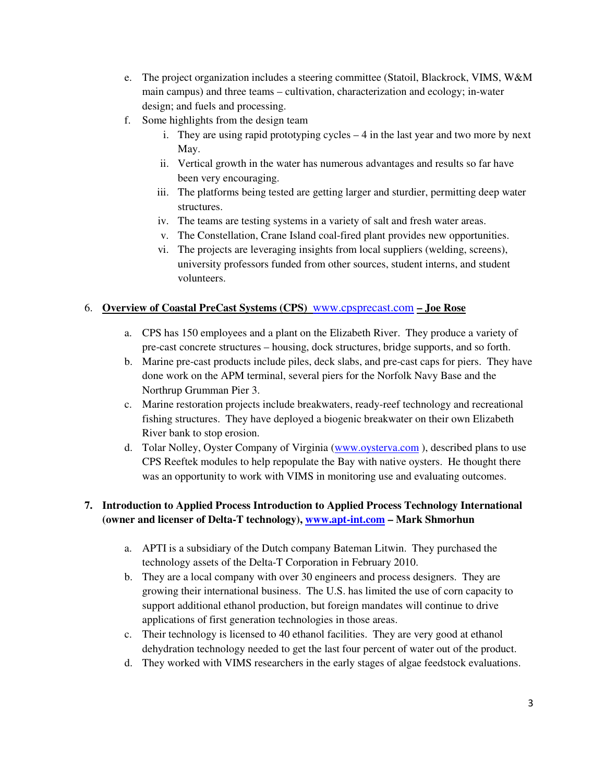- e. The project organization includes a steering committee (Statoil, Blackrock, VIMS, W&M main campus) and three teams – cultivation, characterization and ecology; in-water design; and fuels and processing.
- f. Some highlights from the design team
	- i. They are using rapid prototyping cycles 4 in the last year and two more by next May.
	- ii. Vertical growth in the water has numerous advantages and results so far have been very encouraging.
	- iii. The platforms being tested are getting larger and sturdier, permitting deep water structures.
	- iv. The teams are testing systems in a variety of salt and fresh water areas.
	- v. The Constellation, Crane Island coal-fired plant provides new opportunities.
	- vi. The projects are leveraging insights from local suppliers (welding, screens), university professors funded from other sources, student interns, and student volunteers.

### 6. **Overview of Coastal PreCast Systems (CPS)** www.cpsprecast.com **– Joe Rose**

- a. CPS has 150 employees and a plant on the Elizabeth River. They produce a variety of pre-cast concrete structures – housing, dock structures, bridge supports, and so forth.
- b. Marine pre-cast products include piles, deck slabs, and pre-cast caps for piers. They have done work on the APM terminal, several piers for the Norfolk Navy Base and the Northrup Grumman Pier 3.
- c. Marine restoration projects include breakwaters, ready-reef technology and recreational fishing structures. They have deployed a biogenic breakwater on their own Elizabeth River bank to stop erosion.
- d. Tolar Nolley, Oyster Company of Virginia (www.oysterva.com ), described plans to use CPS Reeftek modules to help repopulate the Bay with native oysters. He thought there was an opportunity to work with VIMS in monitoring use and evaluating outcomes.

## **7. Introduction to Applied Process Introduction to Applied Process Technology International (owner and licenser of Delta-T technology), www.apt-int.com – Mark Shmorhun**

- a. APTI is a subsidiary of the Dutch company Bateman Litwin. They purchased the technology assets of the Delta-T Corporation in February 2010.
- b. They are a local company with over 30 engineers and process designers. They are growing their international business. The U.S. has limited the use of corn capacity to support additional ethanol production, but foreign mandates will continue to drive applications of first generation technologies in those areas.
- c. Their technology is licensed to 40 ethanol facilities. They are very good at ethanol dehydration technology needed to get the last four percent of water out of the product.
- d. They worked with VIMS researchers in the early stages of algae feedstock evaluations.